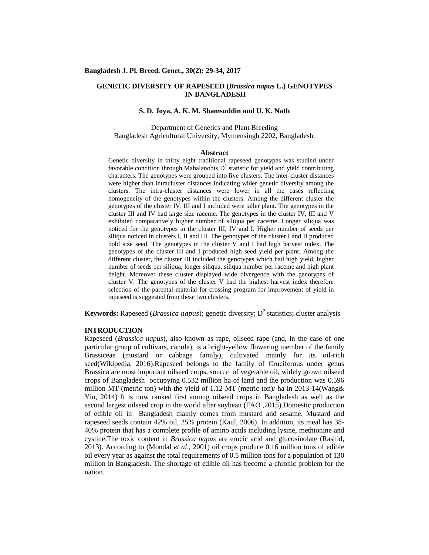# **GENETIC DIVERSITY OF RAPESEED (***Brassica napus* **L.) GENOTYPES IN BANGLADESH**

# **S. D. Joya, A. K. M. Shamsuddin and U. K. Nath**

Department of Genetics and Plant Breeding Bangladesh Agricultural University, Mymensingh 2202, Bangladesh.

#### **Abstract**

Genetic diversity in thirty eight traditional rapeseed genotypes was studied under favorable condition through Mahalanobis  $D<sup>2</sup>$  statistic for yield and yield contributing characters. The genotypes were grouped into five clusters. The inter-cluster distances were higher than intracluster distances indicating wider genetic diversity among the clusters. The intra-cluster distances were lower in all the cases reflecting homogeneity of the genotypes within the clusters. Among the different cluster the genotypes of the cluster IV, III and I included were taller plant. The genotypes in the cluster III and IV had large size raceme. The genotypes in the cluster IV, III and V exhibited comparatively higher number of siliqua per raceme. Longer siliqua was noticed for the genotypes in the cluster III, IV and I. Higher number of seeds per siliqua noticed in clusters I, II and III. The genotypes of the cluster I and II produced bold size seed. The genotypes in the cluster V and I had high harvest index. The genotypes of the cluster III and I produced high seed yield per plant. Among the different cluster, the cluster III included the genotypes which had high yield, higher number of seeds per siliqua, longer siliqua, siliqua number per raceme and high plant height. Moreover these cluster displayed wide divergence with the genotypes of cluster V. The genotypes of the cluster V had the highest harvest index therefore selection of the parental material for crossing program for improvement of yield in rapeseed is suggested from these two clusters.

**Keywords:** Rapeseed (*Brassica napus*); genetic diversity;  $D^2$  statistics; cluster analysis

# **INTRODUCTION**

Rapeseed (*Brassica napus*), also known as rape, oilseed rape (and, in the case of one particular group of cultivars, canola), is a bright-yellow flowering member of the family Brassiceae (mustard or cabbage family), cultivated mainly for its oil-rich seed(Wikipedia, 2016).Rapeseed belongs to the family of Cruciferous under genus Brassica are most important oilseed crops, source of vegetable oil, widely grown oilseed crops of Bangladesh occupying 0.532 million ha of land and the production was 0.596 million MT (metric ton) with the yield of 1.12 MT (metric ton)/ ha in 2013-14(Wang & Yin, 2014) It is now ranked first among oilseed crops in Bangladesh as well as the second largest oilseed crop in the world after soybean (FAO ,2015).Domestic production of edible oil in Bangladesh mainly comes from mustard and sesame. Mustard and rapeseed seeds contain 42% oil, 25% protein (Kaul, 2006). In addition, its meal has 38- 40% protein that has a complete profile of amino acids including lysine, methionine and cystine.The toxic content in *Brassica napus* are erucic acid and glucosinolate (Rashid, 2013). According to (Mondal *et al*., 2001) oil crops produce 0.16 million tons of edible oil every year as against the total requirements of 0.5 million tons for a population of 130 million in Bangladesh. The shortage of edible oil has become a chronic problem for the nation.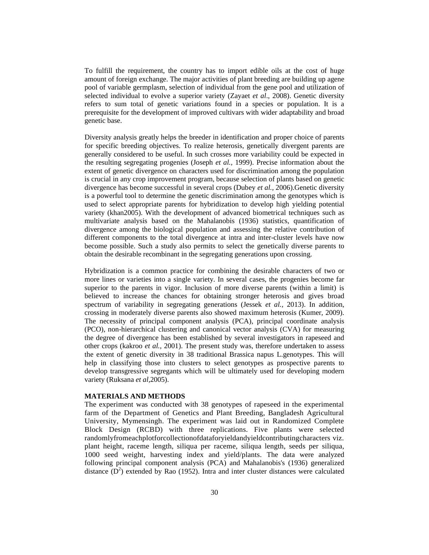To fulfill the requirement, the country has to import edible oils at the cost of huge amount of foreign exchange. The major activities of plant breeding are building up agene pool of variable germplasm, selection of individual from the gene pool and utilization of selected individual to evolve a superior variety (Zayaet *et al*., 2008). Genetic diversity refers to sum total of genetic variations found in a species or population. It is a prerequisite for the development of improved cultivars with wider adaptability and broad genetic base.

Diversity analysis greatly helps the breeder in identification and proper choice of parents for specific breeding objectives. To realize heterosis, genetically divergent parents are generally considered to be useful. In such crosses more variability could be expected in the resulting segregating progenies (Joseph *et al.,* 1999). Precise information about the extent of genetic divergence on characters used for discrimination among the population is crucial in any crop improvement program, because selection of plants based on genetic divergence has become successful in several crops (Dubey *et al.,* 2006).Genetic diversity is a powerful tool to determine the genetic discrimination among the genotypes which is used to select appropriate parents for hybridization to develop high yielding potential variety (khan2005). With the development of advanced biometrical techniques such as multivariate analysis based on the Mahalanobis (1936) statistics, quantification of divergence among the biological population and assessing the relative contribution of different components to the total divergence at intra and inter-cluster levels have now become possible. Such a study also permits to select the genetically diverse parents to obtain the desirable recombinant in the segregating generations upon crossing.

Hybridization is a common practice for combining the desirable characters of two or more lines or varieties into a single variety. In several cases, the progenies become far superior to the parents in vigor. Inclusion of more diverse parents (within a limit) is believed to increase the chances for obtaining stronger heterosis and gives broad spectrum of variability in segregating generations (Jessek *et al.,* 2013). In addition, crossing in moderately diverse parents also showed maximum heterosis (Kumer, 2009). The necessity of principal component analysis (PCA), principal coordinate analysis (PCO), non-hierarchical clustering and canonical vector analysis (CVA) for measuring the degree of divergence has been established by several investigators in rapeseed and other crops (kakroo *et al.,* 2001). The present study was, therefore undertaken to assess the extent of genetic diversity in 38 traditional Brassica napus L.genotypes. This will help in classifying those into clusters to select genotypes as prospective parents to develop transgressive segregants which will be ultimately used for developing modern variety (Ruksana *et al,*2005).

#### **MATERIALS AND METHODS**

The experiment was conducted with 38 genotypes of rapeseed in the experimental farm of the Department of Genetics and Plant Breeding, Bangladesh Agricultural University, Mymensingh. The experiment was laid out in Randomized Complete Block Design (RCBD) with three replications. Five plants were selected randomlyfromeachplotforcollectionofdataforyieldandyieldcontributingcharacters viz. plant height, raceme length, siliqua per raceme, siliqua length, seeds per siliqua, 1000 seed weight, harvesting index and yield/plants. The data were analyzed following principal component analysis (PCA) and Mahalanobis's (1936) generalized distance  $(D^2)$  extended by Rao (1952). Intra and inter cluster distances were calculated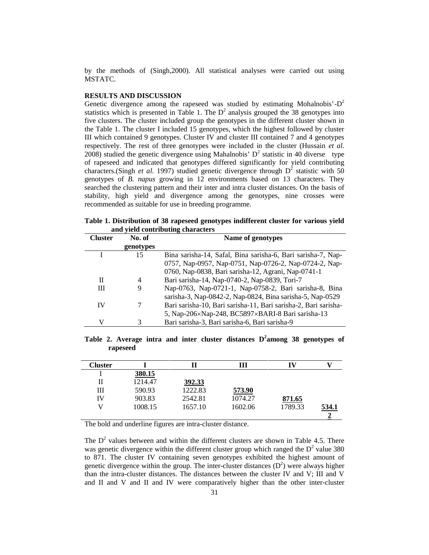by the methods of (Singh*,*2000). All statistical analyses were carried out using MSTATC.

### **RESULTS AND DISCUSSION**

Genetic divergence among the rapeseed was studied by estimating Mohalnobis'- $D^2$ statistics which is presented in Table 1. The  $D<sup>2</sup>$  analysis grouped the 38 genotypes into five clusters. The cluster included group the genotypes in the different cluster shown in the Table 1. The cluster I included 15 genotypes, which the highest followed by cluster III which contained 9 genotypes. Cluster IV and cluster III contained 7 and 4 genotypes respectively. The rest of three genotypes were included in the cluster (Hussain *et al.* 2008) studied the genetic divergence using Mahalnobis'  $D<sup>2</sup>$  statistic in 40 diverse type of rapeseed and indicated that genotypes differed significantly for yield contributing characters.(Singh *et al.* 1997) studied genetic divergence through  $D^2$  statistic with 50 genotypes of *B. napus* growing in 12 environments based on 13 characters. They searched the clustering pattern and their inter and intra cluster distances. On the basis of stability, high yield and divergence among the genotypes, nine crosses were recommended as suitable for use in breeding programme.

|                                   |  | Table 1. Distribution of 38 rapeseed genotypes indifferent cluster for various yield |  |
|-----------------------------------|--|--------------------------------------------------------------------------------------|--|
| and yield contributing characters |  |                                                                                      |  |

| <b>Cluster</b> | No. of    | Name of genotypes                                               |
|----------------|-----------|-----------------------------------------------------------------|
|                | genotypes |                                                                 |
|                | 15        | Bina sarisha-14, Safal, Bina sarisha-6, Bari sarisha-7, Nap-    |
|                |           | 0757, Nap-0957, Nap-0751, Nap-0726-2, Nap-0724-2, Nap-          |
|                |           | 0760, Nap-0838, Bari sarisha-12, Agrani, Nap-0741-1             |
| П              | 4         | Bari sarisha-14, Nap-0740-2, Nap-0839, Tori-7                   |
| Ш              | 9         | Nap-0763, Nap-0721-1, Nap-0758-2, Bari sarisha-8, Bina          |
|                |           | sarisha-3, Nap-0842-2, Nap-0824, Bina sarisha-5, Nap-0529       |
| IV             | 7         | Bari sarisha-10, Bari sarisha-11, Bari sarisha-2, Bari sarisha- |
|                |           | 5, Nap-206×Nap-248, BC5897×BARI-8 Bari sarisha-13               |
| V              | 3         | Bari sarisha-3, Bari sarisha-6, Bari sarisha-9                  |

**Table 2. Average intra and inter cluster distances D<sup>2</sup>among 38 genotypes of rapeseed**

| Cluster |         |               | Ш       | IV      |              |
|---------|---------|---------------|---------|---------|--------------|
|         | 380.15  |               |         |         |              |
| Н       | 1214.47 | <u>392.33</u> |         |         |              |
| Ш       | 590.93  | 1222.83       | 573.90  |         |              |
| IV      | 903.83  | 2542.81       | 1074.27 | 871.65  |              |
|         | 1008.15 | 1657.10       | 1602.06 | 1789.33 | <u>534.1</u> |
|         |         |               |         |         |              |

The bold and underline figures are intra-cluster distance.

The  $D<sup>2</sup>$  values between and within the different clusters are shown in Table 4.5. There was genetic divergence within the different cluster group which ranged the  $D<sup>2</sup>$  value 380 to 871. The cluster IV containing seven genotypes exhibited the highest amount of genetic divergence within the group. The inter-cluster distances  $(D^2)$  were always higher than the intra-cluster distances. The distances between the cluster IV and V; III and V and II and V and II and IV were comparatively higher than the other inter-cluster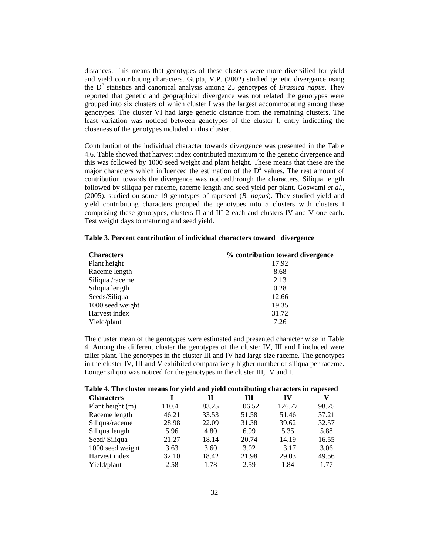distances. This means that genotypes of these clusters were more diversified for yield and yield contributing characters. Gupta, V.P. (2002) studied genetic divergence using the D<sup>2</sup> statistics and canonical analysis among 25 genotypes of *Brassica napus*. They reported that genetic and geographical divergence was not related the genotypes were grouped into six clusters of which cluster I was the largest accommodating among these genotypes. The cluster VI had large genetic distance from the remaining clusters. The least variation was noticed between genotypes of the cluster I, entry indicating the closeness of the genotypes included in this cluster.

Contribution of the individual character towards divergence was presented in the Table 4.6. Table showed that harvest index contributed maximum to the genetic divergence and this was followed by 1000 seed weight and plant height. These means that these are the major characters which influenced the estimation of the  $D<sup>2</sup>$  values. The rest amount of contribution towards the divergence was noticedthrough the characters. Siliqua length followed by siliqua per raceme, raceme length and seed yield per plant. Goswami *et al*., (2005). studied on some 19 genotypes of rapeseed (*B. napus*). They studied yield and yield contributing characters grouped the genotypes into 5 clusters with clusters I comprising these genotypes, clusters II and III 2 each and clusters IV and V one each. Test weight days to maturing and seed yield.

| <b>Characters</b> | % contribution toward divergence |
|-------------------|----------------------------------|
| Plant height      | 17.92                            |
| Raceme length     | 8.68                             |
| Siliqua /raceme   | 2.13                             |
| Siliqua length    | 0.28                             |
| Seeds/Siliqua     | 12.66                            |
| 1000 seed weight  | 19.35                            |
| Harvest index     | 31.72                            |
| Yield/plant       | 7.26                             |

**Table 3. Percent contribution of individual characters toward divergence**

The cluster mean of the genotypes were estimated and presented character wise in Table 4. Among the different cluster the genotypes of the cluster IV, III and I included were taller plant. The genotypes in the cluster III and IV had large size raceme. The genotypes in the cluster IV, III and V exhibited comparatively higher number of siliqua per raceme. Longer siliqua was noticed for the genotypes in the cluster III, IV and I.

**Table 4. The cluster means for yield and yield contributing characters in rapeseed**

| <b>Table 4.</b> The cluster inealistic yield and yield contributing characters in rapeseed |        |       |        |        |       |
|--------------------------------------------------------------------------------------------|--------|-------|--------|--------|-------|
| <b>Characters</b>                                                                          |        | п     | Ш      | 1V     |       |
| Plant height (m)                                                                           | 110.41 | 83.25 | 106.52 | 126.77 | 98.75 |
| Raceme length                                                                              | 46.21  | 33.53 | 51.58  | 51.46  | 37.21 |
| Siliqua/raceme                                                                             | 28.98  | 22.09 | 31.38  | 39.62  | 32.57 |
| Siliqua length                                                                             | 5.96   | 4.80  | 6.99   | 5.35   | 5.88  |
| Seed/Siliqua                                                                               | 21.27  | 18.14 | 20.74  | 14.19  | 16.55 |
| 1000 seed weight                                                                           | 3.63   | 3.60  | 3.02   | 3.17   | 3.06  |
| Harvest index                                                                              | 32.10  | 18.42 | 21.98  | 29.03  | 49.56 |
| Yield/plant                                                                                | 2.58   | 1.78  | 2.59   | 1.84   | 1.77  |
|                                                                                            |        |       |        |        |       |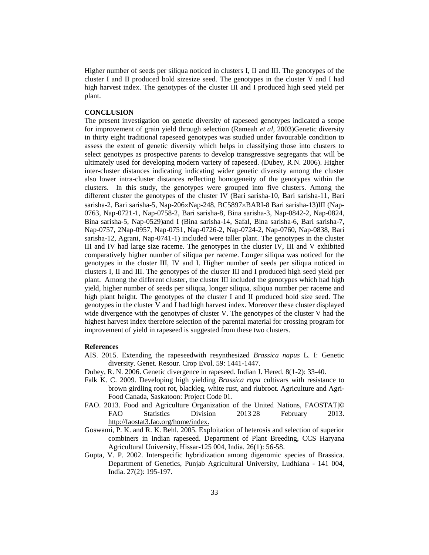Higher number of seeds per siliqua noticed in clusters I, II and III. The genotypes of the cluster I and II produced bold sizesize seed. The genotypes in the cluster V and I had high harvest index. The genotypes of the cluster III and I produced high seed yield per plant.

### **CONCLUSION**

The present investigation on genetic diversity of rapeseed genotypes indicated a scope for improvement of grain yield through selection (Rameah *et al,* 2003)Genetic diversity in thirty eight traditional rapeseed genotypes was studied under favourable condition to assess the extent of genetic diversity which helps in classifying those into clusters to select genotypes as prospective parents to develop transgressive segregants that will be ultimately used for developing modern variety of rapeseed. (Dubey, R.N. 2006). Higher inter-cluster distances indicating indicating wider genetic diversity among the cluster also lower intra-cluster distances reflecting homogeneity of the genotypes within the clusters. In this study, the genotypes were grouped into five clusters. Among the different cluster the genotypes of the cluster IV (Bari sarisha-10, Bari sarisha-11, Bari sarisha-2, Bari sarisha-5, Nap-206×Nap-248, BC5897×BARI-8 Bari sarisha-13)III (Nap-0763, Nap-0721-1, Nap-0758-2, Bari sarisha-8, Bina sarisha-3, Nap-0842-2, Nap-0824, Bina sarisha-5, Nap-0529)and I (Bina sarisha-14, Safal, Bina sarisha-6, Bari sarisha-7, Nap-0757, 2Nap-0957, Nap-0751, Nap-0726-2, Nap-0724-2, Nap-0760, Nap-0838, Bari sarisha-12, Agrani, Nap-0741-1) included were taller plant. The genotypes in the cluster III and IV had large size raceme. The genotypes in the cluster IV, III and V exhibited comparatively higher number of siliqua per raceme. Longer siliqua was noticed for the genotypes in the cluster III, IV and I. Higher number of seeds per siliqua noticed in clusters I, II and III. The genotypes of the cluster III and I produced high seed yield per plant. Among the different cluster, the cluster III included the genotypes which had high yield, higher number of seeds per siliqua, longer siliqua, siliqua number per raceme and high plant height. The genotypes of the cluster I and II produced bold size seed. The genotypes in the cluster V and I had high harvest index. Moreover these cluster displayed wide divergence with the genotypes of cluster V. The genotypes of the cluster V had the highest harvest index therefore selection of the parental material for crossing program for improvement of yield in rapeseed is suggested from these two clusters.

# **References**

- AIS. 2015. Extending the rapeseedwith resynthesized *Brassica napus* L. I: Genetic diversity. Genet. Resour. Crop Evol. 59: 1441-1447.
- Dubey, R. N. 2006. Genetic divergence in rapeseed. Indian J. Hered. 8(1-2): 33-40.
- Falk K. C. 2009. Developing high yielding *Brassica rapa* cultivars with resistance to brown girdling root rot, blackleg, white rust, and rlubroot. Agriculture and Agri- Food Canada, Saskatoon: Project Code 01.
- FAO. 2013. Food and Agriculture Organization of the United Nations, FAOSTAT© FAO Statistics Division 2013|28 February 2013. http://faostat3.fao.org/home/index.
- Goswami, P. K. and R. K. Behl. 2005. Exploitation of heterosis and selection of superior combiners in Indian rapeseed. Department of Plant Breeding, CCS Haryana Agricultural University, Hissar-125 004, India. 26(1): 56-58.
- Gupta, V. P. 2002. Interspecific hybridization among digenomic species of Brassica. Department of Genetics, Punjab Agricultural University, Ludhiana - 141 004, India. 27(2): 195-197.